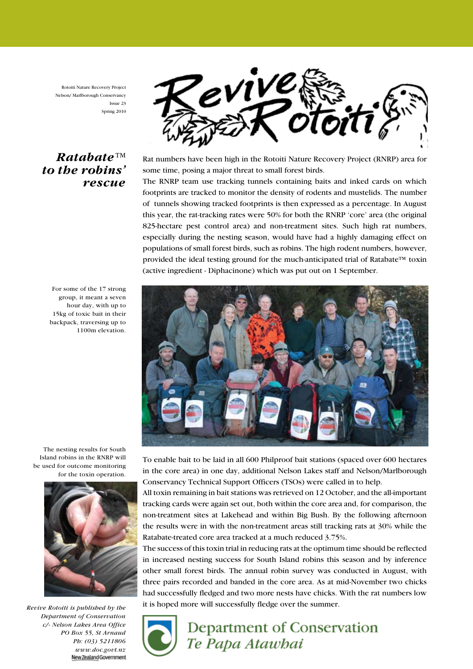Rotoiti Nature Recovery Project Nelson/ Marlborough Conservancy Issue 23 Spring 2010

#### Ratabate™ to the robins' rescue



Rat numbers have been high in the Rotoiti Nature Recovery Project (RNRP) area for some time, posing a major threat to small forest birds.

The RNRP team use tracking tunnels containing baits and inked cards on which footprints are tracked to monitor the density of rodents and mustelids. The number of tunnels showing tracked footprints is then expressed as a percentage. In August this year, the rat-tracking rates were 50% for both the RNRP 'core' area (the original 825-hectare pest control area) and non-treatment sites. Such high rat numbers, especially during the nesting season, would have had a highly damaging effect on populations of small forest birds, such as robins. The high rodent numbers, however, provided the ideal testing ground for the much-anticipated trial of Ratabate™ toxin (active ingredient - Diphacinone) which was put out on 1 September.



To enable bait to be laid in all 600 Philproof bait stations (spaced over 600 hectares in the core area) in one day, additional Nelson Lakes staff and Nelson/Marlborough Conservancy Technical Support Officers (TSOs) were called in to help.

All toxin remaining in bait stations was retrieved on 12 October, and the all-important tracking cards were again set out, both within the core area and, for comparison, the non-treatment sites at Lakehead and within Big Bush. By the following afternoon the results were in with the non-treatment areas still tracking rats at 30% while the Ratabate-treated core area tracked at a much reduced 3.75%.

The success of this toxin trial in reducing rats at the optimum time should be reflected in increased nesting success for South Island robins this season and by inference other small forest birds. The annual robin survey was conducted in August, with three pairs recorded and banded in the core area. As at mid-November two chicks had successfully fledged and two more nests have chicks. With the rat numbers low it is hoped more will successfully fledge over the summer.



# Department of Conservation Te Papa Atawbai

For some of the 17 strong group, it meant a seven hour day, with up to 15kg of toxic bait in their backpack, traversing up to 1100m elevation.

The nesting results for South Island robins in the RNRP will be used for outcome monitoring for the toxin operation.



Revive Rotoiti is published by the Department of Conservation c/- Nelson Lakes Area Office PO Box 55, St Arnaud Ph: (03) 5211806 www.doc.govt.nz New Zealand Government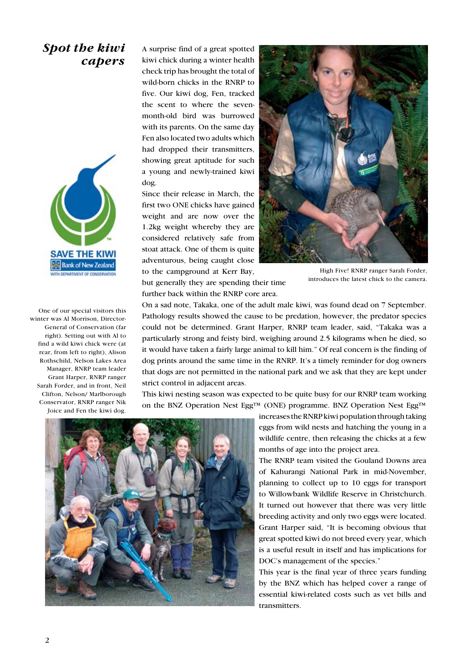#### Spot the kiwi capers



One of our special visitors this winter was Al Morrison, Director-General of Conservation (far right). Setting out with Al to find a wild kiwi chick were (at rear, from left to right), Alison Rothschild, Nelson Lakes Area Manager, RNRP team leader Grant Harper, RNRP ranger Sarah Forder, and in front, Neil Clifton, Nelson/ Marlborough Conservator, RNRP ranger Nik Joice and Fen the kiwi dog.

A surprise find of a great spotted kiwi chick during a winter health check trip has brought the total of wild-born chicks in the RNRP to five. Our kiwi dog, Fen, tracked the scent to where the sevenmonth-old bird was burrowed with its parents. On the same day Fen also located two adults which had dropped their transmitters, showing great aptitude for such a young and newly-trained kiwi dog.

Since their release in March, the first two ONE chicks have gained weight and are now over the 1.2kg weight whereby they are considered relatively safe from stoat attack. One of them is quite adventurous, being caught close to the campground at Kerr Bay,

but generally they are spending their time further back within the RNRP core area.



High Five! RNRP ranger Sarah Forder, introduces the latest chick to the camera.

On a sad note, Takaka, one of the adult male kiwi, was found dead on 7 September. Pathology results showed the cause to be predation, however, the predator species could not be determined. Grant Harper, RNRP team leader, said, "Takaka was a particularly strong and feisty bird, weighing around 2.5 kilograms when he died, so it would have taken a fairly large animal to kill him." Of real concern is the finding of dog prints around the same time in the RNRP. It's a timely reminder for dog owners that dogs are not permitted in the national park and we ask that they are kept under strict control in adjacent areas.

This kiwi nesting season was expected to be quite busy for our RNRP team working on the BNZ Operation Nest Egg<sup>TM</sup> (ONE) programme. BNZ Operation Nest Egg<sup>TM</sup>



increases the RNRP kiwi population through taking eggs from wild nests and hatching the young in a wildlife centre, then releasing the chicks at a few months of age into the project area.

The RNRP team visited the Gouland Downs area of Kahurangi National Park in mid-November, planning to collect up to 10 eggs for transport to Willowbank Wildlife Reserve in Christchurch. It turned out however that there was very little breeding activity and only two eggs were located. Grant Harper said, "It is becoming obvious that great spotted kiwi do not breed every year, which is a useful result in itself and has implications for DOC's management of the species."

This year is the final year of three years funding by the BNZ which has helped cover a range of essential kiwi-related costs such as vet bills and transmitters.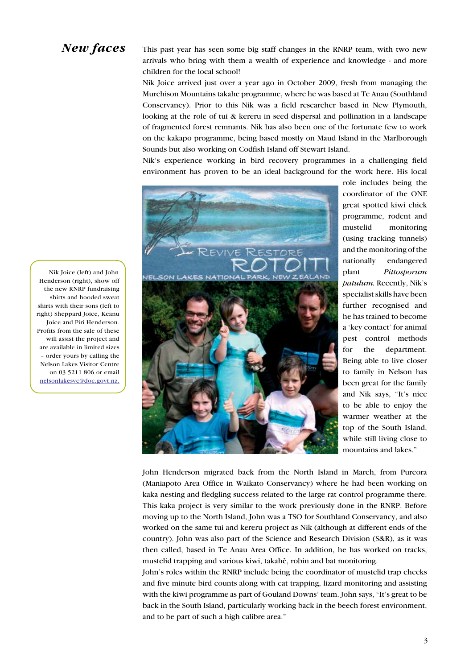#### New faces

This past year has seen some big staff changes in the RNRP team, with two new arrivals who bring with them a wealth of experience and knowledge - and more children for the local school!

Nik Joice arrived just over a year ago in October 2009, fresh from managing the Murchison Mountains takahe programme, where he was based at Te Anau (Southland Conservancy). Prior to this Nik was a field researcher based in New Plymouth, looking at the role of tui & kereru in seed dispersal and pollination in a landscape of fragmented forest remnants. Nik has also been one of the fortunate few to work on the kakapo programme, being based mostly on Maud Island in the Marlborough Sounds but also working on Codfish Island off Stewart Island.

Nik's experience working in bird recovery programmes in a challenging field environment has proven to be an ideal background for the work here. His local



role includes being the coordinator of the ONE great spotted kiwi chick programme, rodent and mustelid monitoring (using tracking tunnels) and the monitoring of the nationally endangered plant Pittosporum patulum. Recently, Nik's specialist skills have been further recognised and he has trained to become a 'key contact' for animal pest control methods for the department. Being able to live closer to family in Nelson has been great for the family and Nik says, "It's nice to be able to enjoy the warmer weather at the top of the South Island, while still living close to mountains and lakes."

John Henderson migrated back from the North Island in March, from Pureora (Maniapoto Area Office in Waikato Conservancy) where he had been working on kaka nesting and fledgling success related to the large rat control programme there. This kaka project is very similar to the work previously done in the RNRP. Before moving up to the North Island, John was a TSO for Southland Conservancy, and also worked on the same tui and kereru project as Nik (although at different ends of the country). John was also part of the Science and Research Division (S&R), as it was then called, based in Te Anau Area Office. In addition, he has worked on tracks, mustelid trapping and various kiwi, takahë, robin and bat monitoring.

John's roles within the RNRP include being the coordinator of mustelid trap checks and five minute bird counts along with cat trapping, lizard monitoring and assisting with the kiwi programme as part of Gouland Downs' team. John says, "It's great to be back in the South Island, particularly working back in the beech forest environment, and to be part of such a high calibre area."

Nik Joice (left) and John Henderson (right), show off the new RNRP fundraising shirts and hooded sweat shirts with their sons (left to right) Sheppard Joice, Keanu Joice and Piri Henderson. Profits from the sale of these will assist the project and are available in limited sizes – order yours by calling the Nelson Lakes Visitor Centre on 03 5211 806 or email nelsonlakesvc@doc.govt.nz.